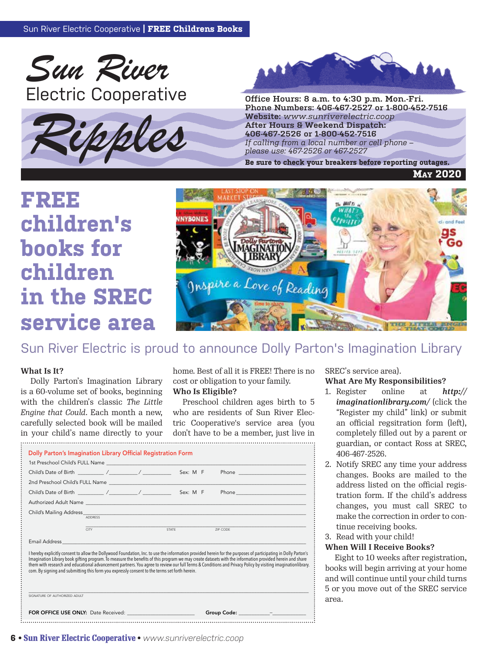





**Phone Numbers: 406-467-2527 or 1-800-452-7516 Website:** *www.sunriverelectric.coop* **After Hours & Weekend Dispatch: 406-467-2526 or 1-800-452-7516** *If calling from a local number or cell phone –*  Website: www.sunriverelectric.coop<br>
After Hours & Weekend Dispatch:<br>
406-467-2526 or 1-800-452-7516<br>
If calling from a local number or cell phone –<br>
please use: 467-2526 or 467-2527<br>
Be sure to check your breakers before r

**May 2020**

# **FREE children's**  books for **N**



#### $E^*$  and  $E^*$  and  $E^*$  and  $E^*$  and  $E^*$  and  $E^*$  and  $E^*$  and  $E^*$  and  $E^*$ Sun River Electric is proud to announce Dolly Parton's Imagination Library

#### **What Is It?** bome.

Dolly Parton's Imagination Library is a 60-volume set of books, beginning \_\_\_\_\_\_\_\_\_\_\_\_\_\_\_\_\_\_\_\_\_\_\_\_\_\_\_\_\_\_\_\_\_\_\_\_\_\_\_\_\_\_\_\_\_\_\_\_\_\_\_\_\_\_\_\_\_\_\_\_\_\_\_\_\_\_\_\_\_\_\_\_\_\_\_\_\_\_\_\_\_\_\_\_\_\_\_\_\_\_\_\_\_\_\_\_\_\_\_\_\_\_\_\_\_\_\_\_ with the children's classic The Little *Engine that Could. Each month a new,* who are residents of Sun River Ele carefully selected book will be mailed in your child's name directly to your

hat Is It? home. Best of all it is FREE! There is no cost or obligation to your family. **Who Is Eligible?**

> Preschool children ages birth to 5 who are residents of Sun River Electric Cooperative's service area (you don't have to be a member, just live in

|                                                                                                                 |      |              | 1st Preschool Child's FULL Name <b>contract the contract of the contract of the contract of the contract of the contract of the contract of the contract of the contract of the contract of the contract of the contract of the </b>                                                                                                                                                                                                                                                     |
|-----------------------------------------------------------------------------------------------------------------|------|--------------|------------------------------------------------------------------------------------------------------------------------------------------------------------------------------------------------------------------------------------------------------------------------------------------------------------------------------------------------------------------------------------------------------------------------------------------------------------------------------------------|
|                                                                                                                 |      |              | Phone _________________________                                                                                                                                                                                                                                                                                                                                                                                                                                                          |
|                                                                                                                 |      |              |                                                                                                                                                                                                                                                                                                                                                                                                                                                                                          |
|                                                                                                                 |      |              |                                                                                                                                                                                                                                                                                                                                                                                                                                                                                          |
|                                                                                                                 |      |              |                                                                                                                                                                                                                                                                                                                                                                                                                                                                                          |
| Child's Mailing Address ADDRESS                                                                                 |      |              |                                                                                                                                                                                                                                                                                                                                                                                                                                                                                          |
|                                                                                                                 | CITY | <b>STATE</b> | ZIP CODE                                                                                                                                                                                                                                                                                                                                                                                                                                                                                 |
| Email Address and the control of the control of the control of the control of the control of the control of the |      |              |                                                                                                                                                                                                                                                                                                                                                                                                                                                                                          |
| com. By signing and submitting this form you expressly consent to the terms set forth herein.                   |      |              | I hereby explicitly consent to allow the Dollywood Foundation, Inc. to use the information provided herein for the purposes of participating in Dolly Parton's<br>Imagination Library book gifting program. To measure the benefits of this program we may create datasets with the information provided herein and share<br>them with research and educational advancement partners. You agree to review our full Terms & Conditions and Privacy Policy by visiting imaginationlibrary. |

SREC's service area).

#### **What Are My Responsibilities?**

- 1. Register online at *http:// imaginationlibrary.com/* (click the "Register my child" link) or submit an official regsitration form (left), completely filled out by a parent or guardian, or contact Ross at SREC, 406-467-2526. **Affiliate Name and Affiliate Name and Affiliate Name and Affiliate**
- 2. Notify SREC any time your address changes. Books are mailed to the address listed on the official registration form. If the child's address changes, you must call SREC to make the correction in order to continue receiving books. oun<br>nan<br>ddratid<br>anake<br>aad<br>n Vght<br>s will<br>you rest mail out the above form and mail to:<br>International to:<br>International co .<br>Cut Here<br>Cut Here **Affiliate Address C**<br>Computed using<br> $\alpha$  in the computed of  $\alpha$ **(123) 456-7890**
- 3. Read with your child!

#### **When Will I Receive Books?**

Eight to 10 weeks after registration, books will begin arriving at your home and will continue until your child turns 5 or you move out of the SREC service area.